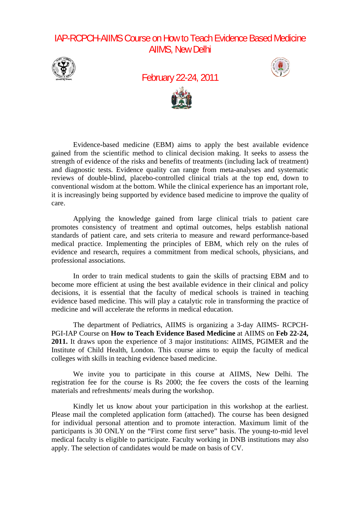## IAP-RCPCH-AIIMS Course on How to Teach Evidence Based Medicine AIIMS, New Delhi



February 22-24, 2011





Evidence-based medicine (EBM) aims to apply the best available evidence gained from the scientific method to clinical decision making. It seeks to assess the strength of evidence of the risks and benefits of treatments (including lack of treatment) and diagnostic tests. Evidence quality can range from meta-analyses and systematic reviews of double-blind, placebo-controlled clinical trials at the top end, down to conventional wisdom at the bottom. While the clinical experience has an important role, it is increasingly being supported by evidence based medicine to improve the quality of care.

Applying the knowledge gained from large clinical trials to patient care promotes consistency of treatment and optimal outcomes, helps establish national standards of patient care, and sets criteria to measure and reward performance-based medical practice. Implementing the principles of EBM, which rely on the rules of evidence and research, requires a commitment from medical schools, physicians, and professional associations.

In order to train medical students to gain the skills of practsing EBM and to become more efficient at using the best available evidence in their clinical and policy decisions, it is essential that the faculty of medical schools is trained in teaching evidence based medicine. This will play a catalytic role in transforming the practice of medicine and will accelerate the reforms in medical education.

The department of Pediatrics, AIIMS is organizing a 3-day AIIMS- RCPCH-PGI-IAP Course on **How to Teach Evidence Based Medicine** at AIIMS on **Feb 22-24, 2011.** It draws upon the experience of 3 major institutions: AIIMS, PGIMER and the Institute of Child Health, London. This course aims to equip the faculty of medical colleges with skills in teaching evidence based medicine.

We invite you to participate in this course at AIIMS, New Delhi. The registration fee for the course is Rs 2000; the fee covers the costs of the learning materials and refreshments/ meals during the workshop.

Kindly let us know about your participation in this workshop at the earliest. Please mail the completed application form (attached). The course has been designed for individual personal attention and to promote interaction. Maximum limit of the participants is 30 ONLY on the "First come first serve" basis. The young-to-mid level medical faculty is eligible to participate. Faculty working in DNB institutions may also apply. The selection of candidates would be made on basis of CV.